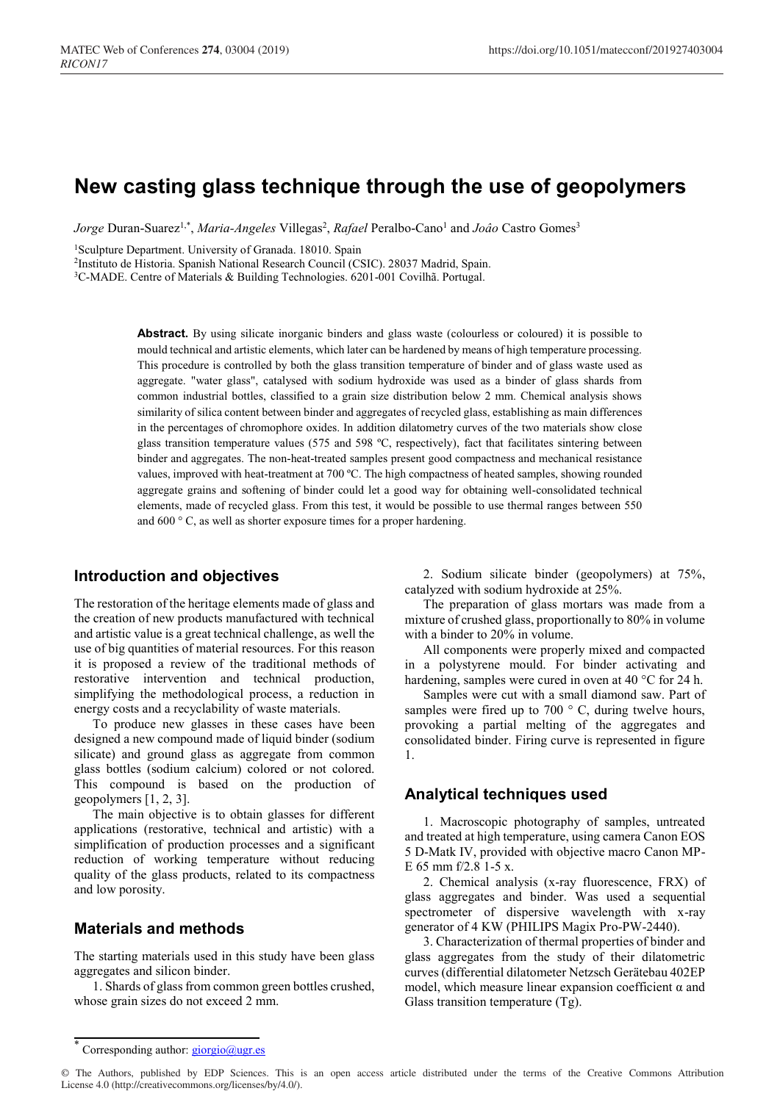# **New casting glass technique through the use of geopolymers**

*Jorge* Duran-Suarez<sup>1,\*</sup>, *Maria-Angeles* Villegas<sup>2</sup>, *Rafael* Peralbo-Cano<sup>1</sup> and *Joâo* Castro Gomes<sup>3</sup>

<sup>1</sup>Sculpture Department. University of Granada. 18010. Spain

2Instituto de Historia. Spanish National Research Council (CSIC). 28037 Madrid, Spain.

3C-MADE. Centre of Materials & Building Technologies. 6201-001 Covilhã. Portugal.

Abstract. By using silicate inorganic binders and glass waste (colourless or coloured) it is possible to mould technical and artistic elements, which later can be hardened by means of high temperature processing. This procedure is controlled by both the glass transition temperature of binder and of glass waste used as aggregate. "water glass", catalysed with sodium hydroxide was used as a binder of glass shards from common industrial bottles, classified to a grain size distribution below 2 mm. Chemical analysis shows similarity of silica content between binder and aggregates of recycled glass, establishing as main differences in the percentages of chromophore oxides. In addition dilatometry curves of the two materials show close glass transition temperature values (575 and 598 ºC, respectively), fact that facilitates sintering between binder and aggregates. The non-heat-treated samples present good compactness and mechanical resistance values, improved with heat-treatment at 700 ºC. The high compactness of heated samples, showing rounded aggregate grains and softening of binder could let a good way for obtaining well-consolidated technical elements, made of recycled glass. From this test, it would be possible to use thermal ranges between 550 and 600 ° C, as well as shorter exposure times for a proper hardening.

#### **Introduction and objectives**

The restoration of the heritage elements made of glass and the creation of new products manufactured with technical and artistic value is a great technical challenge, as well the use of big quantities of material resources. For this reason it is proposed a review of the traditional methods of restorative intervention and technical production, simplifying the methodological process, a reduction in energy costs and a recyclability of waste materials.

To produce new glasses in these cases have been designed a new compound made of liquid binder (sodium silicate) and ground glass as aggregate from common glass bottles (sodium calcium) colored or not colored. This compound is based on the production of geopolymers [1, 2, 3].

The main objective is to obtain glasses for different applications (restorative, technical and artistic) with a simplification of production processes and a significant reduction of working temperature without reducing quality of the glass products, related to its compactness and low porosity.

## **Materials and methods**

The starting materials used in this study have been glass aggregates and silicon binder.

1. Shards of glass from common green bottles crushed, whose grain sizes do not exceed 2 mm.

2. Sodium silicate binder (geopolymers) at 75%, catalyzed with sodium hydroxide at 25%.

The preparation of glass mortars was made from a mixture of crushed glass, proportionally to 80% in volume with a binder to 20% in volume.

All components were properly mixed and compacted in a polystyrene mould. For binder activating and hardening, samples were cured in oven at 40 °C for 24 h.

Samples were cut with a small diamond saw. Part of samples were fired up to 700 ° C, during twelve hours, provoking a partial melting of the aggregates and consolidated binder. Firing curve is represented in figure 1.

#### **Analytical techniques used**

1. Macroscopic photography of samples, untreated and treated at high temperature, using camera Canon EOS 5 D-Matk IV, provided with objective macro Canon MP-E 65 mm f/2.8 1-5 x.

2. Chemical analysis (x-ray fluorescence, FRX) of glass aggregates and binder. Was used a sequential spectrometer of dispersive wavelength with x-ray generator of 4 KW (PHILIPS Magix Pro-PW-2440).

3. Characterization of thermal properties of binder and glass aggregates from the study of their dilatometric curves (differential dilatometer Netzsch Gerätebau 402EP model, which measure linear expansion coefficient  $\alpha$  and Glass transition temperature (Tg).

© The Authors, published by EDP Sciences. This is an open access article distributed under the terms of the Creative Commons Attribution License 4.0 (http://creativecommons.org/licenses/by/4.0/).

Corresponding author:  $giorgio@ugr.$ es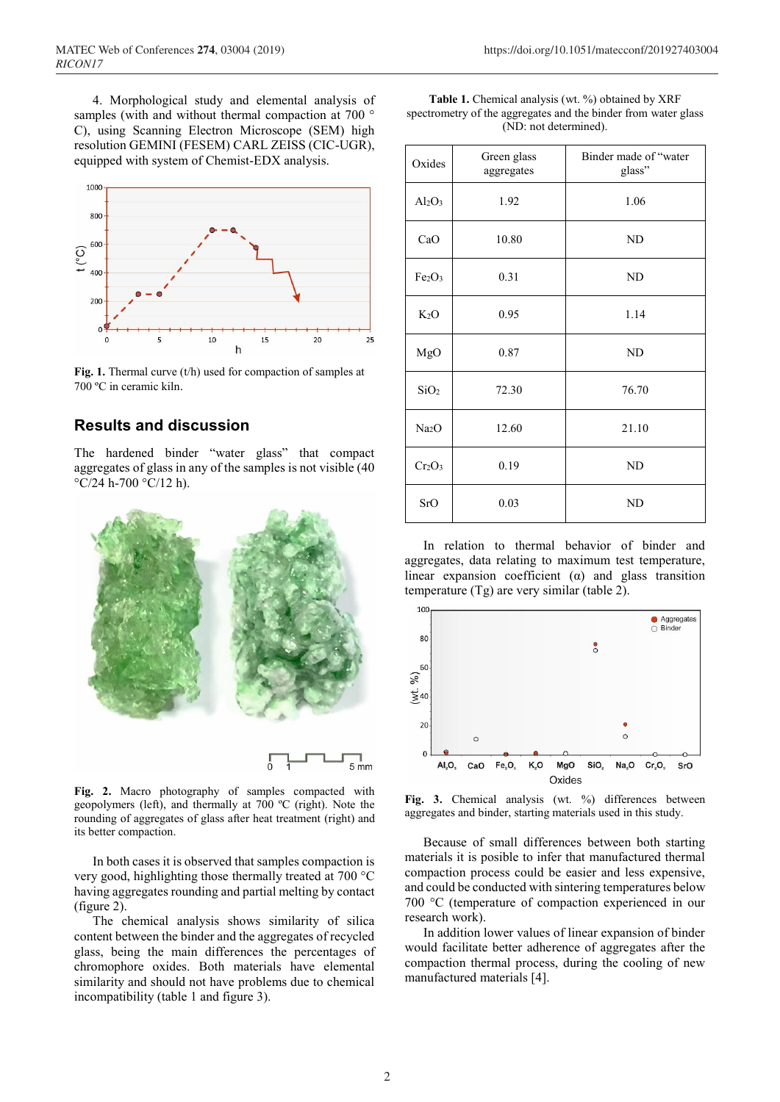4. Morphological study and elemental analysis of samples (with and without thermal compaction at 700 ° C), using Scanning Electron Microscope (SEM) high resolution GEMINI (FESEM) CARL ZEISS (CIC-UGR), equipped with system of Chemist-EDX analysis.



**Fig. 1.** Thermal curve (t/h) used for compaction of samples at 700 ºC in ceramic kiln.

# **Results and discussion**

The hardened binder "water glass" that compact aggregates of glass in any of the samples is not visible (40  $\rm{°C/24}$  h-700  $\rm{°C/12}$  h).



**Fig. 2.** Macro photography of samples compacted with geopolymers (left), and thermally at 700 ºC (right). Note the rounding of aggregates of glass after heat treatment (right) and its better compaction.

In both cases it is observed that samples compaction is very good, highlighting those thermally treated at 700 °C having aggregates rounding and partial melting by contact (figure 2).

The chemical analysis shows similarity of silica content between the binder and the aggregates of recycled glass, being the main differences the percentages of chromophore oxides. Both materials have elemental similarity and should not have problems due to chemical incompatibility (table 1 and figure 3).

| <b>Table 1.</b> Chemical analysis (wt. %) obtained by XRF      |
|----------------------------------------------------------------|
| spectrometry of the aggregates and the binder from water glass |
| (ND: not determined).                                          |

| Oxides                         | Green glass<br>aggregates | Binder made of "water<br>glass" |  |
|--------------------------------|---------------------------|---------------------------------|--|
| $Al_2O_3$                      | 1.92                      | 1.06                            |  |
| CaO                            | 10.80                     | <b>ND</b>                       |  |
| Fe <sub>2</sub> O <sub>3</sub> | 0.31                      | ND                              |  |
| $K_2O$                         | 0.95                      | 1.14                            |  |
| MgO                            | 0.87                      | <b>ND</b>                       |  |
| SiO <sub>2</sub>               | 72.30                     | 76.70                           |  |
| Na <sub>2</sub> O              | 12.60                     | 21.10                           |  |
| Cr <sub>2</sub> O <sub>3</sub> | 0.19                      | ND                              |  |
| SrO                            | 0.03                      | <b>ND</b>                       |  |

In relation to thermal behavior of binder and aggregates, data relating to maximum test temperature, linear expansion coefficient  $(\alpha)$  and glass transition temperature (Tg) are very similar (table 2).



**Fig. 3.** Chemical analysis (wt. %) differences between aggregates and binder, starting materials used in this study.

Because of small differences between both starting materials it is posible to infer that manufactured thermal compaction process could be easier and less expensive, and could be conducted with sintering temperatures below 700 °C (temperature of compaction experienced in our research work).

In addition lower values of linear expansion of binder would facilitate better adherence of aggregates after the compaction thermal process, during the cooling of new manufactured materials [4].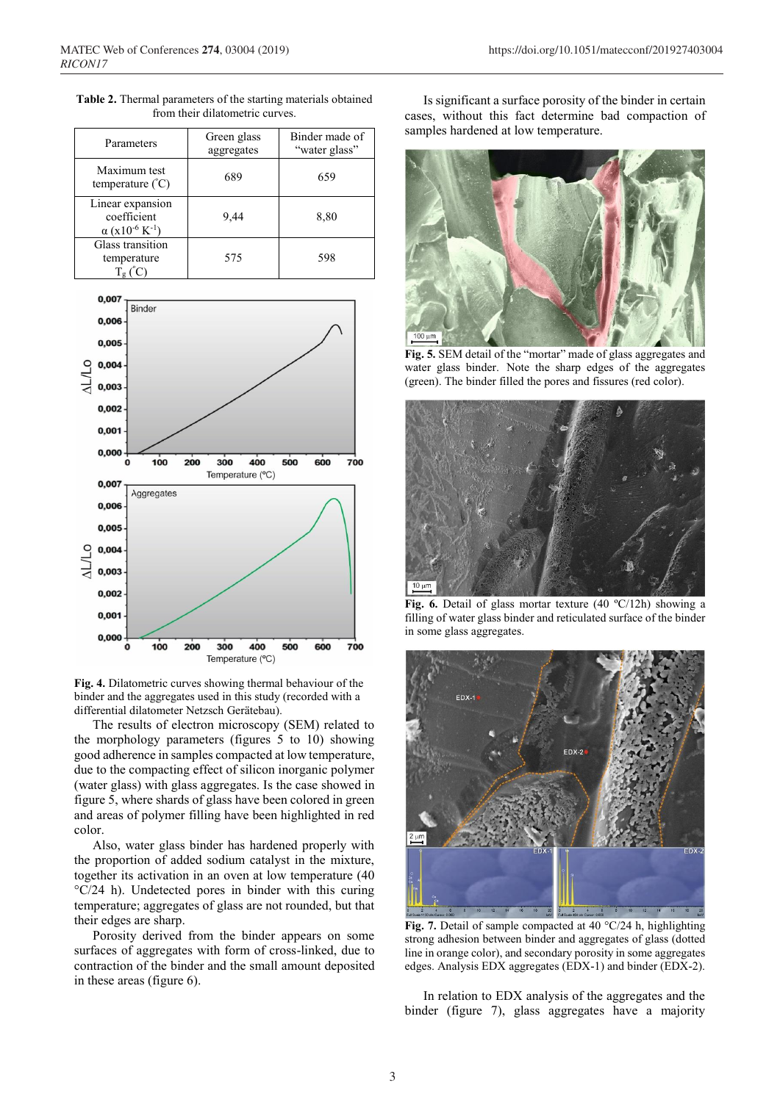| Parameters                                                                       | Green glass<br>aggregates | Binder made of<br>"water glass" |
|----------------------------------------------------------------------------------|---------------------------|---------------------------------|
| Maximum test<br>temperature $({}^{\circ}C)$                                      | 689                       | 659                             |
| Linear expansion<br>coefficient<br>$\alpha$ (x10 <sup>-6</sup> K <sup>-1</sup> ) | 9,44                      | 8,80                            |
| Glass transition<br>temperature                                                  | 575                       | 598                             |

**Table 2.** Thermal parameters of the starting materials obtained from their dilatometric curves.



**Fig. 4.** Dilatometric curves showing thermal behaviour of the binder and the aggregates used in this study (recorded with a differential dilatometer Netzsch Gerätebau).

The results of electron microscopy (SEM) related to the morphology parameters (figures 5 to 10) showing good adherence in samples compacted at low temperature, due to the compacting effect of silicon inorganic polymer (water glass) with glass aggregates. Is the case showed in figure 5, where shards of glass have been colored in green and areas of polymer filling have been highlighted in red color.

Also, water glass binder has hardened properly with the proportion of added sodium catalyst in the mixture, together its activation in an oven at low temperature (40 °C/24 h). Undetected pores in binder with this curing temperature; aggregates of glass are not rounded, but that their edges are sharp.

Porosity derived from the binder appears on some surfaces of aggregates with form of cross-linked, due to contraction of the binder and the small amount deposited in these areas (figure 6).

Is significant a surface porosity of the binder in certain cases, without this fact determine bad compaction of samples hardened at low temperature.



**Fig. 5.** SEM detail of the "mortar" made of glass aggregates and water glass binder. Note the sharp edges of the aggregates (green). The binder filled the pores and fissures (red color).



**Fig. 6.** Detail of glass mortar texture (40 ºC/12h) showing a filling of water glass binder and reticulated surface of the binder in some glass aggregates.



**Fig. 7.** Detail of sample compacted at 40 °C/24 h, highlighting strong adhesion between binder and aggregates of glass (dotted line in orange color), and secondary porosity in some aggregates edges. Analysis EDX aggregates (EDX-1) and binder (EDX-2).

In relation to EDX analysis of the aggregates and the binder (figure 7), glass aggregates have a majority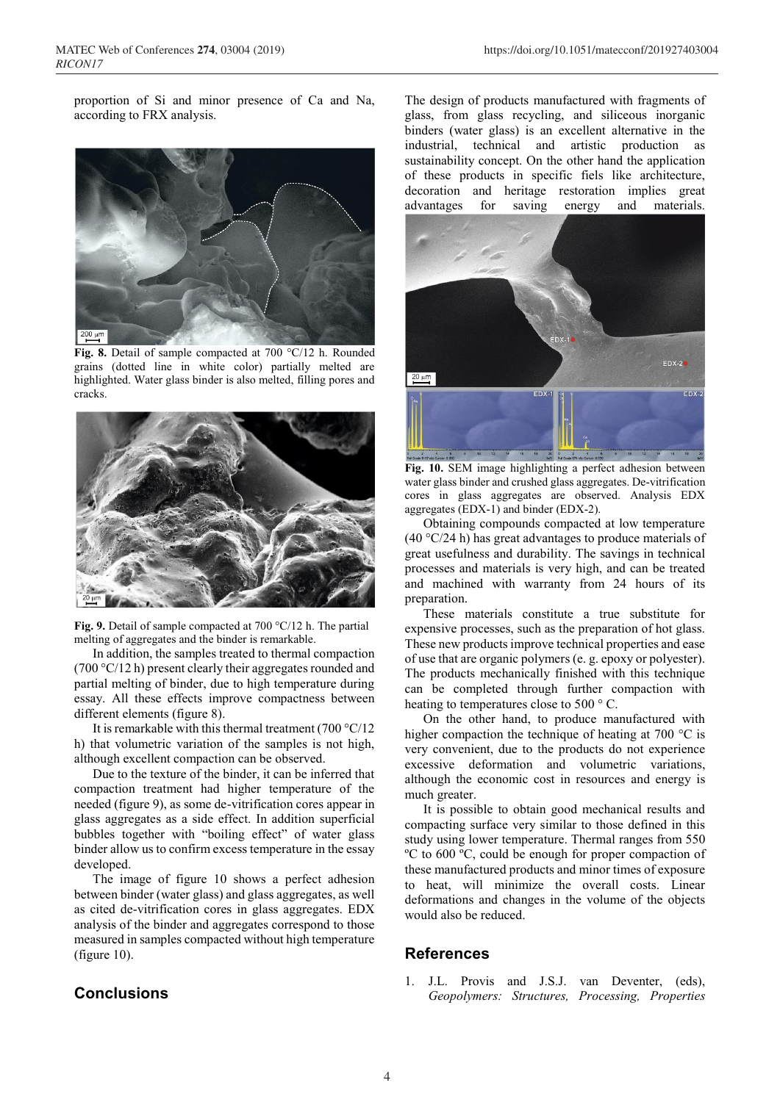proportion of Si and minor presence of Ca and Na, according to FRX analysis.



**Fig. 8.** Detail of sample compacted at 700 °C/12 h. Rounded grains (dotted line in white color) partially melted are highlighted. Water glass binder is also melted, filling pores and cracks.



**Fig. 9.** Detail of sample compacted at 700 °C/12 h. The partial melting of aggregates and the binder is remarkable.

In addition, the samples treated to thermal compaction (700 °C/12 h) present clearly their aggregates rounded and partial melting of binder, due to high temperature during essay. All these effects improve compactness between different elements (figure 8).

It is remarkable with this thermal treatment (700 °C/12 h) that volumetric variation of the samples is not high, although excellent compaction can be observed.

Due to the texture of the binder, it can be inferred that compaction treatment had higher temperature of the needed (figure 9), as some de-vitrification cores appear in glass aggregates as a side effect. In addition superficial bubbles together with "boiling effect" of water glass binder allow us to confirm excess temperature in the essay developed.

The image of figure 10 shows a perfect adhesion between binder (water glass) and glass aggregates, as well as cited de-vitrification cores in glass aggregates. EDX analysis of the binder and aggregates correspond to those measured in samples compacted without high temperature (figure 10).

## **Conclusions**

The design of products manufactured with fragments of glass, from glass recycling, and siliceous inorganic binders (water glass) is an excellent alternative in the industrial, technical and artistic production as sustainability concept. On the other hand the application of these products in specific fiels like architecture, decoration and heritage restoration implies great advantages for saving energy and materials.



**Fig. 10.** SEM image highlighting a perfect adhesion between water glass binder and crushed glass aggregates. De-vitrification cores in glass aggregates are observed. Analysis EDX aggregates (EDX-1) and binder (EDX-2).

Obtaining compounds compacted at low temperature (40 °C/24 h) has great advantages to produce materials of great usefulness and durability. The savings in technical processes and materials is very high, and can be treated and machined with warranty from 24 hours of its preparation.

These materials constitute a true substitute for expensive processes, such as the preparation of hot glass. These new products improve technical properties and ease of use that are organic polymers (e. g. epoxy or polyester). The products mechanically finished with this technique can be completed through further compaction with heating to temperatures close to 500 ° C.

On the other hand, to produce manufactured with higher compaction the technique of heating at 700 °C is very convenient, due to the products do not experience excessive deformation and volumetric variations, although the economic cost in resources and energy is much greater.

It is possible to obtain good mechanical results and compacting surface very similar to those defined in this study using lower temperature. Thermal ranges from 550 ºC to 600 ºC, could be enough for proper compaction of these manufactured products and minor times of exposure to heat, will minimize the overall costs. Linear deformations and changes in the volume of the objects would also be reduced.

# **References**

1. J.L. Provis and J.S.J. van Deventer, (eds), *Geopolymers: Structures, Processing, Properties*